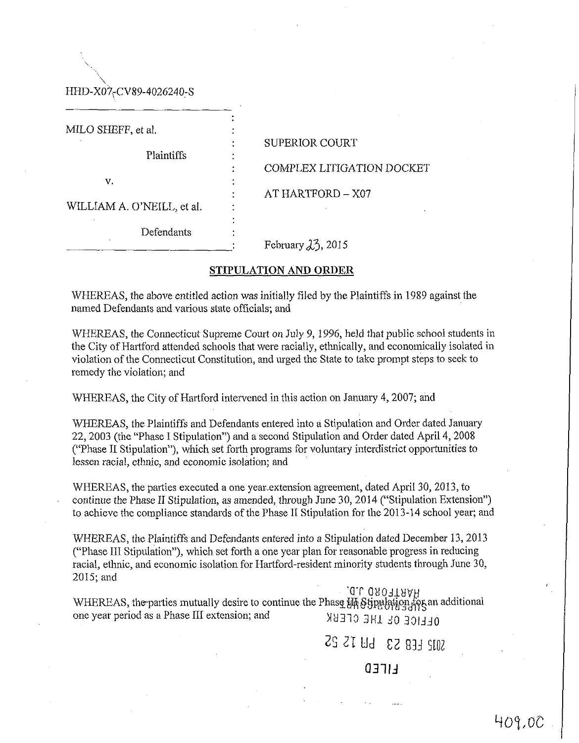**\**  HHD-X07-CV89-4026240-S

MILO SHEFF, et al.

Plaintiffs :

v. **v.** et al. **b** and **v.** et al. **b** and **v.** et al. **b** and **v.** et al. **b** and **v.** et al. **b** and **v.** et al. **b** and **v.** et al. **b** and **v.** et al. **b** and **v.** et al. **b** and **v.** et al. **b** and **v.** et al. **b** and

: SUPERIOR COURT : COMPLEX LITIGATION DOCKET : AT HARTFORD-X07

WILLIAM A, O'NEILL, et al.

**Defendants** 

February  $\lambda$ <sup>3</sup>, 2015

## STIPULATION AND ORDER

WHEREAS, the above entitled action was initially filed by the Plaintiffs in 1989 against the named Defendants and various state officials; and

WHEREAS, the Connecticut Supreme Court on July 9, 1996, held that public school students in the City of Hartford attended schools that were racially, ethnically, and economically isolated in violation of the Connecticut Constitution, and urged the State to take prompt steps to seek to remedy the violation; and

WHEREAS, the City of Hartford intervened in this action on January 4, 2007; and

WHEREAS, the Plaintiffs and Defendants entered into a Stipulation and Order dated January 22,2003 (the "Phase I Stipulation") and a second Stipulation and Order dated April 4,2008 ("Phase II Stipulation"), which set forth programs for voluntary interdistrict opportunities to lessen racial, ethnic, and economic isolation; and

WHEREAS, the parties executed a one year-extension agreement, dated April 30, 2013, to continue the Phase II Stipulation, as amended, through June 30, 2014 ("Stipulation Extension") to achieve the compliance standards of the Phase II Stipulation for the 2013-14 school year; and

WHEREAS, the Plaintiffs and Defendants entered into a Stipulation dated December 13, 2013 ("Phase III Stipulation"), which set forth a one year plan for reasonable progress in reducing racial, ethnic, and economic isolation for Hartford-resident minority students through June 30, 2015; and

WHEREAS, the parties mutually desire to continue the Phase  $\mathcal{W}$  §gpublice and additional where  $\mathcal{W}$ . one year period as a Phase III extension; and MH310 3 HI J0 30IJJ0

22 21 yd C2 93J 5®

Q31IJ

401,00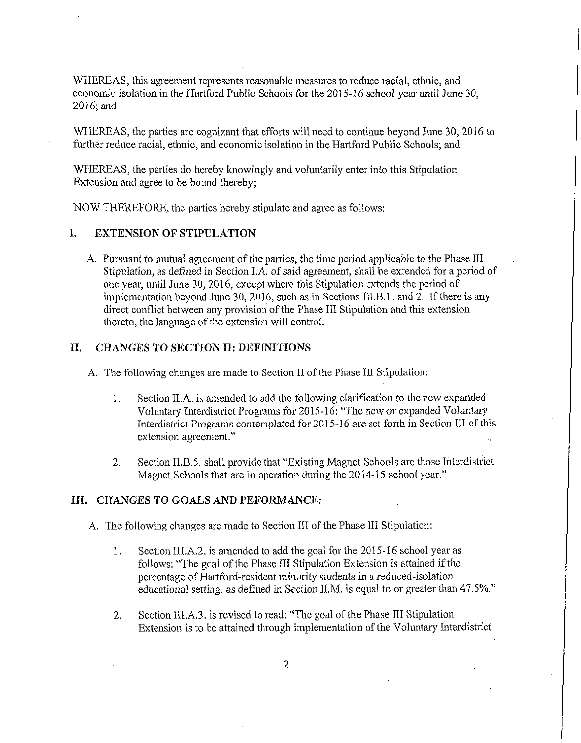WHEREAS, this agreement represents reasonable measures to reduce racial, ethnic, and economic isolation in the Hartford Public Schools for the 2015-16 school year until June 30, 2016;and

WHEREAS, the parties are cognizant that efforts will need to continue beyond June 30,2016 to further reduce racial, ethnic, and economic isolation in the Hartford Public Schools; and

WHEREAS, the parties do hereby knowingly and voluntarily enter into this Stipulation Extension and agree to be bound thereby;

NOW THEREFORE, the parties hereby stipulate and agree as follows:

## I. EXTENSION OF STIPULATION

A. Pursuant to mutual agreement of the parties, the time period applicable to the Phase III Stipulation, as defined in Section I.A. of said agreement, shall be extended for a period of one year, until June 30, 2016, except where this Stipulation extends the period of implementation beyond June 30, 2016, such as in Sections III.B.l. and 2. If there is any direct conflict between any provision of the Phase III Stipulation and this extension thereto, the language of the extension will control.

## II. CHANGES TO SECTION II: DEFINITIONS

A. The following changes are made to Section II of the Phase III Stipulation:

- 1. Section II. A. is amended to add the following clarification to the new expanded Voluntary Interdistrict Programs for 2015-16: "The new or expanded Voluntary Interdistrict Programs contemplated for 2015-16 are set forth in Section III of this extension agreement."
- 2. Section II.B.5. shall provide that "Existing Magnet Schools are those Interdistrict Magnet Schools that are in operation during the 2014-15 school year."

### III. CHANGES TO GOALS AND PEFORMANCE:

- A, The following changes are made to Section III of the Phase III Stipulation:
	- 1. Section III.A.2. is amended to add the goal for the 2015-16 school year as follows: "The goal of the Phase III Stipulation Extension is attained if the percentage of Hartford-resident minority students in a reduced-isolation educational setting, as defined in Section II.M. is equal to or greater than 47.5%."
	- 2. Section III.A.3. is revised to read: "The goal of the Phase III Stipulation Extension is to be attained through implementation of the Voluntary Interdistrict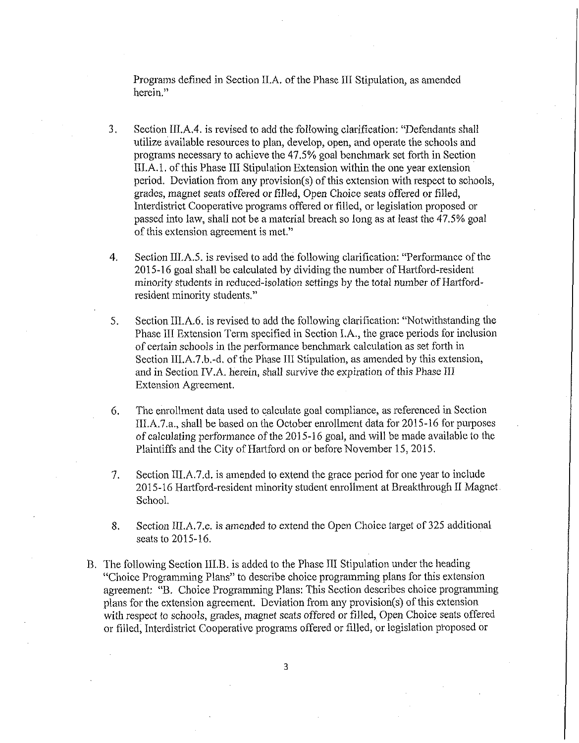Programs defined in Section II.A. of the Phase III Stipulation, as amended herein."

- 3. Section III.A.4. is revised to add the following clarification: "Defendants shall utilize available resources to plan, develop, open, and operate the schools and programs necessary to achieve the 47.5% goal benchmark set forth in Section III.A.l. of this Phase III Stipulation Extension within the one year extension period. Deviation from any provision(s) of this extension with respect to schools, grades, magnet seats offered or filled, Open Choice seats offered or filled, Interdistrict Cooperative programs offered or filled, or legislation proposed or passed into law, shall not be a material breach so long as at least the 47.5% goal of this extension agreement is met."
- 4. Section IILA.5. is revised to add the following clarification: "Performance of the 2015-16 goal shall be calculated by dividing the number of Hartford-resident minority students in reduced-isolation settings by the total number of Hartfordresident minority students."
- 5. Section III.A.6. is revised to add the following clarification: "Notwithstanding the Phase III Extension Term specified in Section I.A., the grace periods for inclusion of certain schools in the performance benchmark calculation as set forth in Section III.A.7.b.-d. of the Phase III Stipulation, as amended by this extension, and in Section IV.A. herein, shall survive the expiration of this Phase III Extension Agreement.
- 6. The enrollment data used to calculate goal compliance, as referenced in Section III.A.7.a., shall be based on the October enrollment data for 2015-16 for purposes of calculating performance of the 2015-16 goal, and will be made available to the Plaintiffs and the City of Hartford on or before November 15, 2015.
- 7. Section III.A.7.d. is amended to extend the grace period for one year to include 2015-16 Hartford-resident minority student enrollment at Breakthrough II Magnet. School.
- 8. Section III.A.7.e. is amended to extend the Open Choice target of 325 additional seats to 2015-16.
- B. The following Section III.B. is added to the Phase III Stipulation under the heading "Choice Programming Plans" to describe choice programming plans for this extension agreement: "B. Choice Programming Plans: This Section describes choice programming plans for the extension agreement. Deviation from any provision(s) of this extension with respect to schools, grades, magnet seats offered or filled, Open Choice seats offered or filled, Interdistrict Cooperative programs offered or filled, or legislation proposed or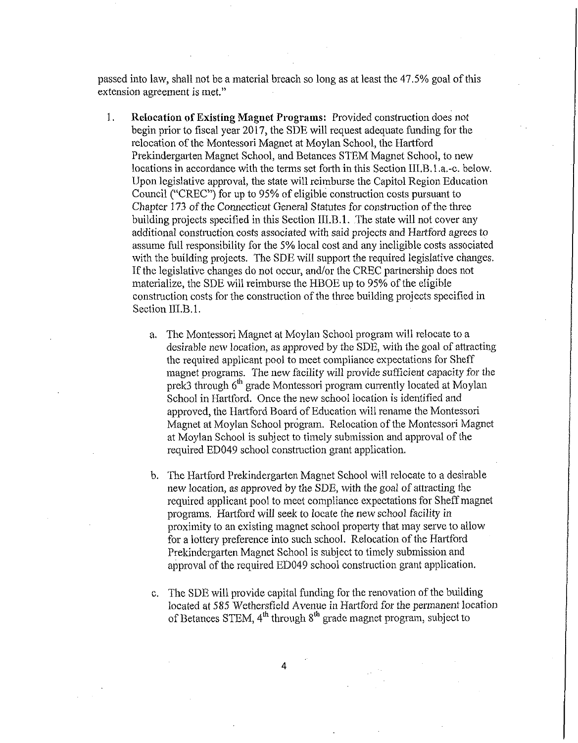passed into law, shall not be a material breach so long as at least the 47.5% goal of this extension agreement is met."

- 1. **Relocation of Existing Magnet Programs:** Provided construction does not begin prior to fiscal year 2017, the SDE will request adequate funding for the relocation of the Montessori Magnet at Moylan School, the Hartford Prekindergarten Magnet School, and Betances STEM Magnet School, to new locations in accordance with the terms set forth in this Section III.B. 1 .a.-c. below. Upon legislative approval, the state will reimburse the Capitol Region Education Council ("CREC") for up to 95% of eligible construction costs pursuant to Chapter 173 of the Connecticut General Statutes for construction of the three building projects specified in this Section III.B.1. The state will not cover any additional construction costs associated with said projects and Hartford agrees to assume full responsibility for the 5% local cost and any ineligible costs associated with the building projects. The SDE will support the required legislative changes. If the legislative changes do not occur, and/or the CREC partnership does not materialize, the SDE will reimburse the HBOE up to 95% of the eligible construction costs for the construction of the three building projects specified in Section III.B.1.
	- a. The Montessori Magnet at Moylan School program will relocate to a desirable new location, as approved by the SDE, with the goal of attracting the required applicant pool to meet compliance expectations for Sheff magnet programs. The new facility will provide sufficient capacity for the prek3 through 6<sup>th</sup> grade Montessori program currently located at Moylan School in Hartford. Once the new school location is identified and approved, the Hartford Board of Education will rename the Montessori Magnet at Moylan School program. Relocation of the Montessori Magnet at Moylan School is subject to timely submission and approval of the required ED049 school construction grant application.
	- b. The Hartford Prekindergarten Magnet School will relocate to a desirable new location, as approved by the SDE, with the goal of attracting the required applicant pool to meet compliance expectations for Sheff magnet programs. Hartford will seek to locate the new school facility in proximity to an existing magnet school property that may serve to allow for a lottery preference into such school. Relocation of the Hartford Prekindergarten Magnet School is subject to timely submission and approval of the required ED049 school construction grant application.
	- c. The SDE will provide capital funding for the renovation of the building located at 585 Wethersfield Avenue in Hartford for the permanent location of Betances STEM, 4<sup>th</sup> through 8<sup>th</sup> grade magnet program, subject to

**4**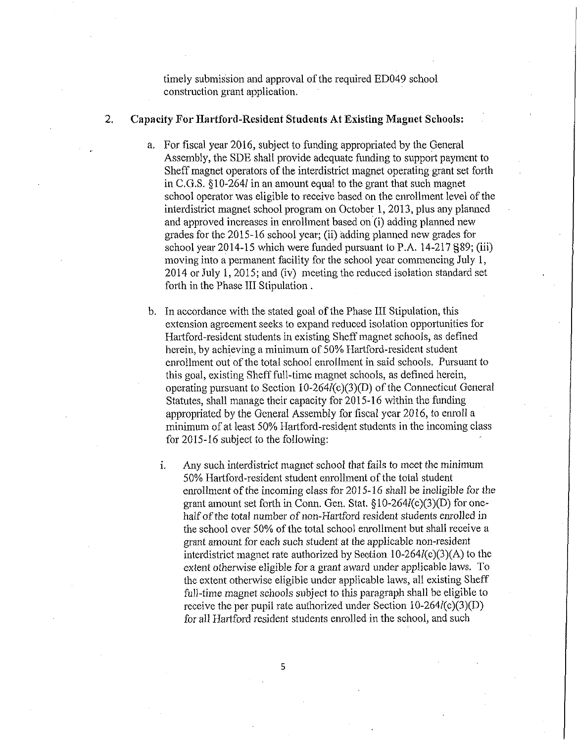timely submission and approval of the required ED049 school construction grant application.

#### 2, **Capacity For Hartford-Resident Students At Existing Magnet Schools:**

- a. For fiscal year 2016, subject to funding appropriated by the General Assembly, the SDE shall provide adequate funding to support payment to Sheff magnet operators of the interdistrict magnet operating grant set forth in C.G.S. §10-264/ in an amount equal to the grant that such magnet school operator was eligible to receive based on the enrollment level of the interdistrict magnet school program on October 1, 2013, plus any planned and approved increases in enrollment based on (i) adding planned new grades for the 2015-16 school year; (ii) adding planned new grades for school year 2014-15 which were funded pursuant to P.A. 14-217 §89; (iii) moving into a permanent facility for the school year commencing July 1, 2014 or July 1, 2015; and (iv) meeting the reduced isolation standard set forth in the Phase III Stipulation .
- b. In accordance with the stated goal of the Phase III Stipulation, this extension agreement seeks to expand reduced isolation opportunities for Hartford-resident students in existing Sheff magnet schools, as defined herein, by achieving a minimum of 50% Hartford-resident student enrollment out of the total school enrollment in said schools. Pursuant to this goal, existing Sheff full-time magnet schools, as defined herein, operating pursuant to Section 10-264/(c)(3)(D) of the Connecticut General Statutes, shall manage their capacity for 2015-16 within the funding appropriated by the General Assembly for fiscal year 2016, to enroll a minimum of at least 50% Hartford-resident students in the incoming class for 2015-16 subject to the following:
	- i. Any such interdistrict magnet school that fails to meet the minimum 50% Hartford-resident student enrollment of the total student enrollment of the incoming class for 2015-16 shall be ineligible for the grant amount set forth in Conn. Gen. Stat. §10-264/(c)(3)(D) for onehalf of the total number of non-Hartford resident students enrolled in the school over 50% of the total school enrollment but shall receive a grant amount for each such student at the applicable non-resident interdistrict magnet rate authorized by Section 10-264/(c)(3)(A) to the extent otherwise eligible for a grant award under applicable laws. To the extent otherwise eligible under applicable laws, all existing Sheff full-time magnet schools subject to this paragraph shall be eligible to receive the per pupil rate authorized under Section 10-264/(c)(3)(D) for all Hartford resident students enrolled in the school, and such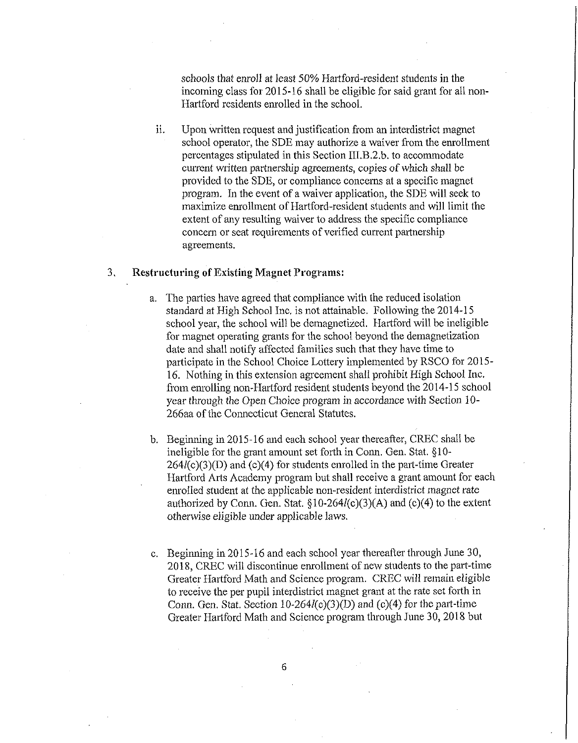schools that enroll at least 50% Hartford-resident students in the incoming class for 2015-16 shall be eligible for said grant for all non-Hartford residents enrolled in the school.

ii. Upon written request and justification from an interdistrict magnet school operator, the SDE may authorize a waiver from the enrollment percentages stipulated in this Section  $III.B.2.b.$  to accommodate current written partnership agreements, copies of which shall be provided to the SDE, or compliance concerns at a specific magnet program. In the event of a waiver application, the SDE will seek to maximize em'ollment of Hartford-resident students and will limit the extent of any resulting waiver to address the specific compliance concern or seat requirements of verified current partnership agreements.

## 3, Restructuring of Existing Magnet Programs:

- a. The parties have agreed that compliance with the reduced isolation standard at High School Inc. is not attainable. Following the 2014-15 school year, the school will be demagnetized. Hartford will be ineligible for magnet operating grants for the school beyond the demagnetization date and shall notify affected families such that they have time to participate in the School Choice Lottery implemented by RSCO for 2015 16. Nothing in this extension agreement shall prohibit High School Inc. from enrolling non-Hartford resident students beyond the 2014-15 school year through the Open Choice program in accordance with Section 10- 266aa of the Connecticut General Statutes.
- b. Beginning in 2015-16 and each school year thereafter, CREC shall be ineligible for the grant amount set forth in Conn. Gen. Stat. §10-  $264/(c)(3)(D)$  and (c)(4) for students enrolled in the part-time Greater Hartford Arts Academy program but shall receive a grant amount for each enrolled student at the applicable non-resident interdistrict magnet rate authorized by Conn. Gen. Stat.  $\S10-264l(c)(3)(A)$  and (c)(4) to the extent otherwise eligible under applicable laws.
- c. Beginning in 2015-16 and each school year thereafter through June 30, 2018, CREC will discontinue enrollment of new students to the part-time Greater Hartford Math and Science program. CREC will remain eligible to receive the per pupil interdistrict magnet grant at the rate set forth in Conn. Gen. Stat. Section 10-264 $l(c)(3)(D)$  and  $(c)(4)$  for the part-time Greater Hartford Math and Science program through June 30, 2018 but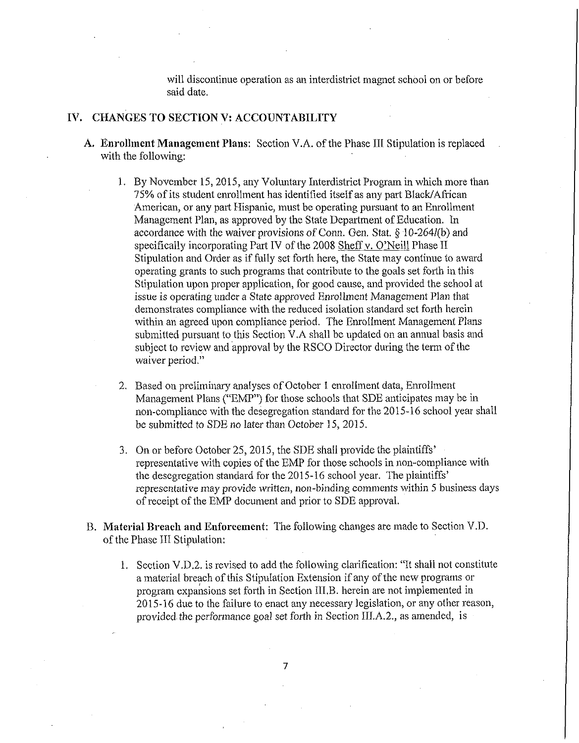will discontinue operation as an interdistrict magnet school on or before said date.

#### IV. CHANGES TO SECTION V: ACCOUNTABILITY

- A. **Enrollment Management Plans:** Section V.A. of the Phase III Stipulation is replaced with the following:
	- 1. By November 15, 2015, any Voluntary Interdistrict Program in which more than 75% of its student enrollment has identified itself as any part Black/African American, or any part Hispanic, must be operating pursuant to an Enrollment Management Plan, as approved by the State Department of Education. In accordance with the waiver provisions of Conn. Gen. Stat.  $\S$  10-264 $l(b)$  and specifically incorporating Part IV of the 2008 Sheff v. O'Neill Phase II Stipulation and Order as if fully set forth here, the State may continue to award operating grants to such programs that contribute to the goals set forth in this Stipulation upon proper application, for good cause, and provided the school at issue is operating under a State approved Enrollment Management Plan that demonstrates compliance with the reduced isolation standard set forth herein within an agreed upon compliance period. The Enrollment Management Plans submitted pursuant to this Section V.A shall be updated on an annual basis and subject to review and approval by the RSCO Director during the term of the waiver period."
	- 2. Based on preliminary analyses of October 1 enrollment data, Enrollment Management Plans ("EMP") for those schools that SDE anticipates may be in non-compliance with the desegregation standard for the 2015-16 school year shall be submitted to SDE no later than October 15, 2015.
	- 3. On or before October 25, 2015, the SDE shall provide the plaintiffs' representative with copies of the EMP for those schools in non-compliance with the desegregation standard for the 2015-16 school year. The plaintiffs' representative may provide written, non-binding comments within 5 business days of receipt of the EMP document and prior to SDE approval.
- B. **Material Breach and Enforcement:** The following changes are made to Section V.D. of the Phase III Stipulation:
	- 1. Section V.D.2. is revised to add the following clarification: "It shall not constitute a material breach of this Stipulation Extension if any of the new programs or program expansions set forth in Section III.B. herein are not implemented in 2015-16 due to the failure to enact any necessary legislation, or any other reason, provided the performance goal set forth in Section III.A.2,, as amended, is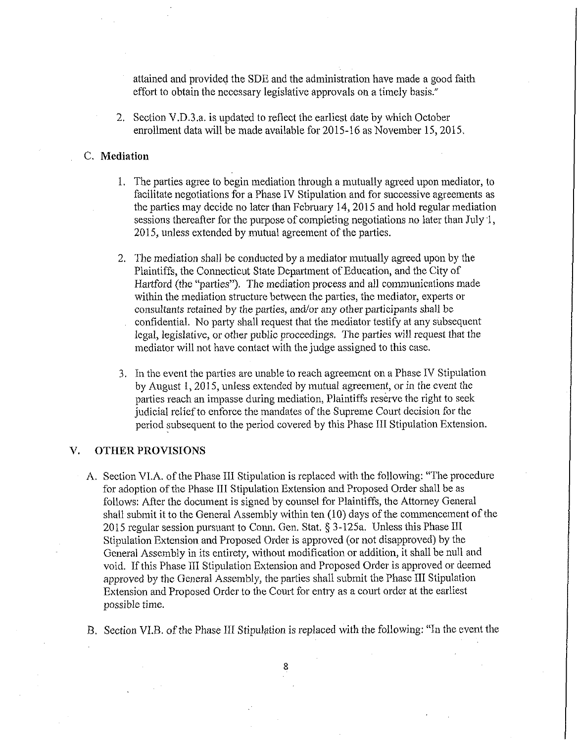attained and provided the SDE and the administration have made a good faith effort to obtain the necessary legislative approvals on a timely basis."

2. Section V.D.3.a. is updated to reflect the earliest date by which October enrollment data will be made available for 2015-16 as November 15,2015.

### C. Mediation

- 1. The parties agree to begin mediation through a mutually agreed upon mediator, to facilitate negotiations for a Phase IV Stipulation and for successive agreements as the parties may decide no later than February 14, 2015 and hold regular mediation sessions thereafter for the purpose of completing negotiations no later than July 1, 2015, unless extended by mutual agreement of the parties.
- 2. The mediation shall be conducted by a mediator mutually agreed upon by the Plaintiffs, the Connecticut State Department of Education, and the City of Hartford (the "parties"). The mediation process and all communications made within the mediation structure between the parties, the mediator, experts or consultants retained by the parties, and/or any other participants shall be
	- . confidential. No party shall request that the mediator testify at any subsequent legal, legislative, or other public proceedings. The parties will request that the mediator will not have contact with the judge assigned to this case.
- 3. In the event the parties are unable to reach agreement on a Phase IV Stipulation by August 1, 2015, unless extended by mutual agreement, or in the event the parties reach an impasse during mediation, Plaintiffs reserve the right to seek judicial relief to enforce the mandates of the Supreme Court decision for the period subsequent to the period covered by this Phase III Stipulation Extension.

## V. OTHER PROVISIONS

- A. Section VI.A. of the Phase III Stipulation is replaced with the following: "The procedure for adoption of the Phase III Stipulation Extension and Proposed Order shall be as follows: After the document is signed by counsel for Plaintiffs, the Attorney General shall submit it to the General Assembly within ten (10) days of the commencement of the 2015 regular session pursuant to Conn. Gen. Stat. § 3-125a. Unless this Phase III Stipulation Extension and Proposed Order is approved (or not disapproved) by the General Assembly in its entirety, without modification or addition, it shall be null and void. If this Phase III Stipulation Extension and Proposed Order is approved or deemed approved by the General Assembly, the parties shall submit the Phase III Stipulation Extension and Proposed Order to the Court for entry as a court order at the earliest possible time.
- B. Section VLB. of the Phase III Stipulation is replaced with the following: "In the event the

**8**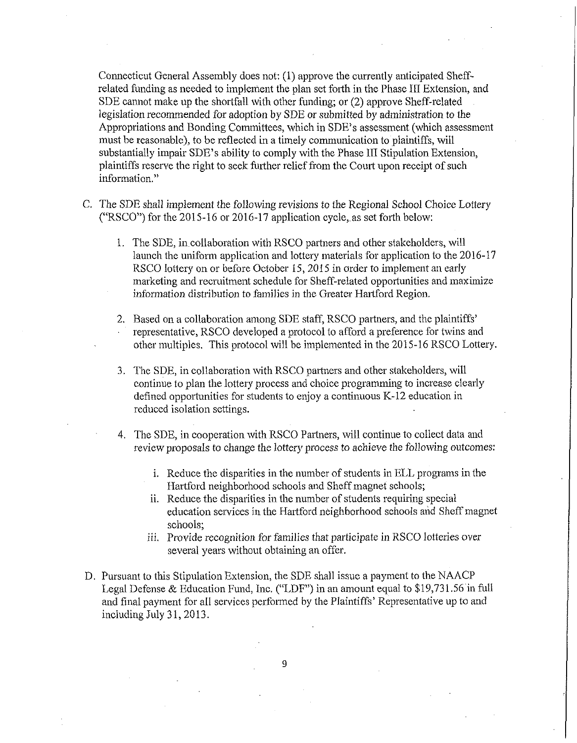Connecticut General Assembly does not: (1) approve the currently anticipated Sheffrelated funding as needed to implement the plan set forth in the Phase III Extension, and SDE cannot make up the shortfall with other funding; or (2) approve Sheff-related legislation recommended for adoption by SDE or submitted by administration to the Appropriations and Bonding Committees, which in SDE's assessment (which assessment must be reasonable), to be reflected in a timely communication to plaintiffs, will substantially impair SDE's ability to comply with the Phase III Stipulation Extension, plaintiffs reserve the right to seek farther relief from the Court upon receipt of such information."

- C. The SDE shall implement the following revisions to the Regional School Choice Lottery ("RSCO") for the 2015-16 or 2016-17 application cycle,, as set forth below:
	- 1. The SDE, in.collaboration with RSCO partners and other stakeholders, will launch the uniform application and lottery materials for application to the 2016-17 RSCO lottery on or before October 15, 2015 in order to implement an early marketing and recruitment schedule for Sheff-related opportunities and maximize information distribution to families in the Greater Hartford Region.
	- 2. Based on a collaboration among SDE staff, RSCO partners, and the plaintiffs' • representative, RSCO developed a protocol to afford a preference for twins and other multiples. This protocol will be implemented in the 2015-16 RSCO Lottery.
	- 3. The SDE, in collaboration with RSCO partners and other stakeholders, will continue to plan the lottery process and choice programming to increase clearly defined opportunities for students to enjoy a continuous K-12 education in reduced isolation settings.
	- 4. The SDE, in cooperation with RSCO Partners, will continue to collect data and review proposals to change the lottery process to achieve the following outcomes:
		- i. Reduce the disparities in the number of students in ELL programs in the Hartford neighborhood schools and Sheff magnet schools;
		- ii. Reduce the disparities in the number of students requiring special education services in the Hartford neighborhood schools and Sheff magnet schools;
		- iii. Provide recognition for families that participate in RSCO lotteries over several years without obtaining an offer.
- D. Pursuant to this Stipulation Extension, the SDE shall issue a payment to the NAACP Legal Defense & Education Fund, Inc. ("LDF") in an amount equal to \$19,731.56 in full and final payment for all services performed by the Plaintiffs' Representative up to and including July 31, 2013.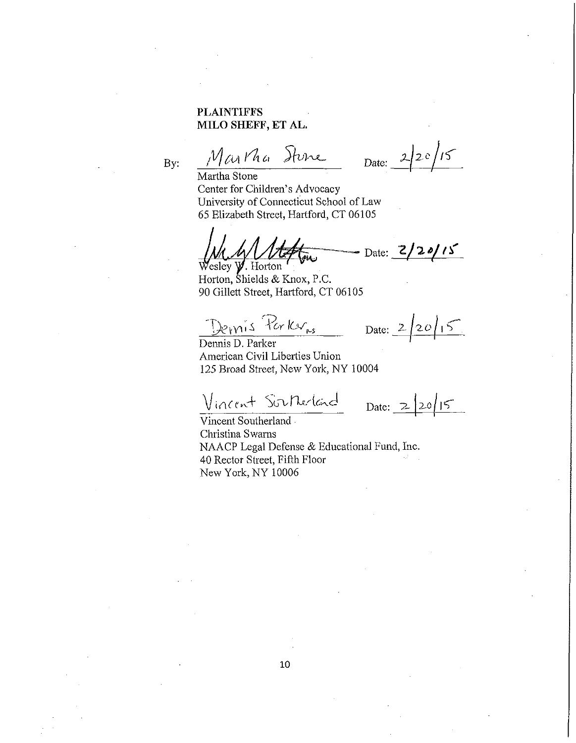# **PLAINTIFFS MILO** SHEFF, ET AL.

PLAINTIFFS<br>MILO SHEFF, ET AL.<br>By:  $\frac{\mathcal{N}_{\ell \mathcal{U}} \mathcal{N}_{\alpha}}{\mathcal{N}_{\alpha}}$   $\frac{\mathcal{N}_{\ell \mathcal{U}} \mathcal{N}_{\alpha}}{\mathcal{N}_{\alpha}}$   $\frac{\mathcal{N}_{\ell \mathcal{U}} \mathcal{N}_{\alpha}}{\mathcal{N}_{\alpha}}$  Date:  $\frac{2}{2}$ 

Martha Stone Center for Children's Advocacy University of Connecticut School of Law 65 Elizabeth Street, Hartford, CT 06105

 $\frac{1}{\sqrt{2}}$  Date:  $\frac{2}{2}$   $\frac{1}{2}$ {ar *.* Wesley *y.* Horton

Horton, Shields & Knox, P.C. 90 Gillett Street, Hartford, CT 06105

Demis Parker<sub>ns</sub> Date: 2/20/15

Dennis D. Parker American Civil Liberties Union 125 Broad Street, New York, NY 10004

Vincent Southerland Date: 2/20/15 Vincent Southerland

Christina Swams NAACP Legal Defense & Educational Fund, Inc. 40 Rector Street, Fifth Floor New York, NY 10006